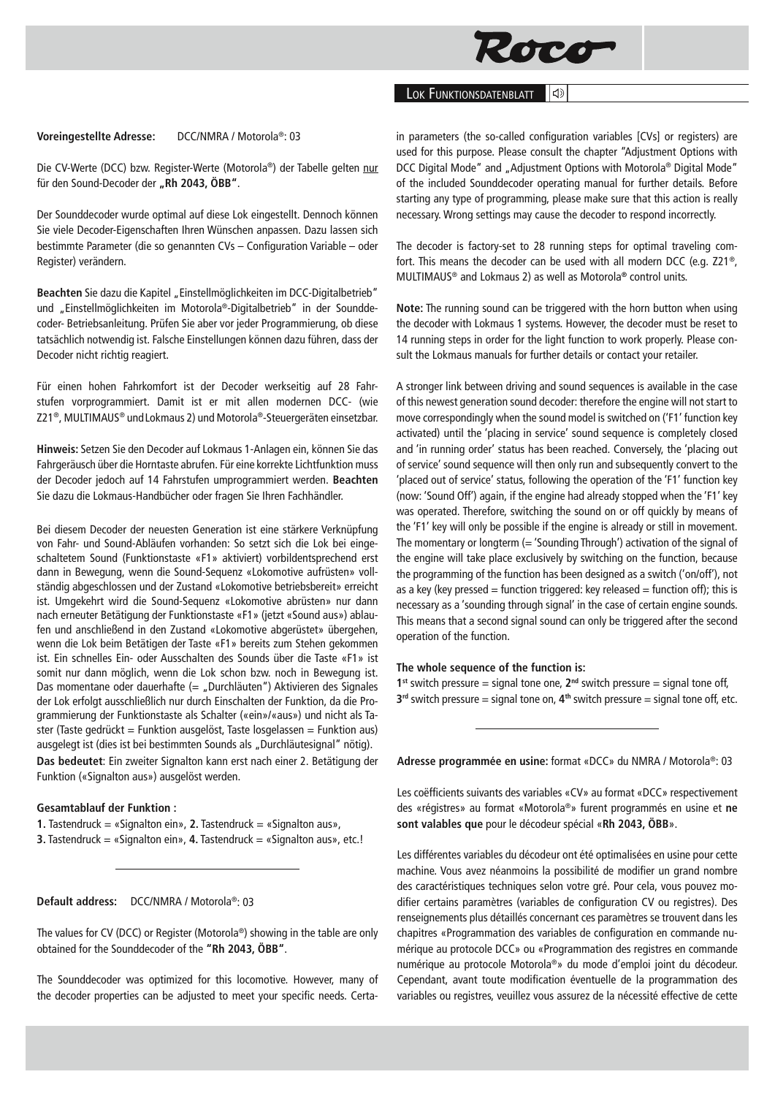

# LOK FUNKTIONSDATENBLATT

## **Voreingestellte Adresse:** DCC/NMRA / Motorola®: 03

Die CV-Werte (DCC) bzw. Register-Werte (Motorola®) der Tabelle gelten nur für den Sound-Decoder der "Rh 2043, ÖBB".

Der Sounddecoder wurde optimal auf diese Lok eingestellt. Dennoch können Sie viele Decoder-Eigenschaften Ihren Wünschen anpassen. Dazu lassen sich bestimmte Parameter (die so genannten CVs – Configuration Variable – oder Register) verändern.

Beachten Sie dazu die Kapitel "Einstellmöglichkeiten im DCC-Digitalbetrieb" und "Einstellmöglichkeiten im Motorola®-Digitalbetrieb" in der Sounddecoder- Betriebsanleitung. Prüfen Sie aber vor jeder Programmierung, ob diese tatsächlich notwendig ist. Falsche Einstellungen können dazu führen, dass der Decoder nicht richtig reagiert.

Für einen hohen Fahrkomfort ist der Decoder werkseitig auf 28 Fahrstufen vorprogrammiert. Damit ist er mit allen modernen DCC- (wie Z21®, MULTIMAUS® undLokmaus 2) und Motorola®-Steuergeräten einsetzbar.

**Hinweis:** Setzen Sie den Decoder auf Lokmaus 1-Anlagen ein, können Sie das Fahrgeräusch über die Horntaste abrufen. Für eine korrekte Lichtfunktion muss der Decoder jedoch auf 14 Fahrstufen umprogrammiert werden. **Beachten**  Sie dazu die Lokmaus-Handbücher oder fragen Sie Ihren Fachhändler.

Bei diesem Decoder der neuesten Generation ist eine stärkere Verknüpfung von Fahr- und Sound-Abläufen vorhanden: So setzt sich die Lok bei eingeschaltetem Sound (Funktionstaste «F1» aktiviert) vorbildentsprechend erst dann in Bewegung, wenn die Sound-Sequenz «Lokomotive aufrüsten» vollständig abgeschlossen und der Zustand «Lokomotive betriebsbereit» erreicht ist. Umgekehrt wird die Sound-Sequenz «Lokomotive abrüsten» nur dann nach erneuter Betätigung der Funktionstaste «F1» (jetzt «Sound aus») ablaufen und anschließend in den Zustand «Lokomotive abgerüstet» übergehen, wenn die Lok beim Betätigen der Taste «F1» bereits zum Stehen gekommen ist. Ein schnelles Ein- oder Ausschalten des Sounds über die Taste «F1» ist somit nur dann möglich, wenn die Lok schon bzw. noch in Bewegung ist. Das momentane oder dauerhafte (= "Durchläuten") Aktivieren des Signales der Lok erfolgt ausschließlich nur durch Einschalten der Funktion, da die Programmierung der Funktionstaste als Schalter («ein»/«aus») und nicht als Taster (Taste gedrückt = Funktion ausgelöst, Taste losgelassen = Funktion aus) ausgelegt ist (dies ist bei bestimmten Sounds als "Durchläutesignal" nötig). **Das bedeutet**: Ein zweiter Signalton kann erst nach einer 2. Betätigung der Funktion («Signalton aus») ausgelöst werden.

#### **Gesamtablauf der Funktion :**

**1.** Tastendruck = «Signalton ein», **2.** Tastendruck = «Signalton aus», **3.** Tastendruck = «Signalton ein», **4.** Tastendruck = «Signalton aus», etc.!

### **Default address:** DCC/NMRA / Motorola®: 03

The values for CV (DCC) or Register (Motorola®) showing in the table are only obtained for the Sounddecoder of the **"Rh 2043, ÖBB"**.

The Sounddecoder was optimized for this locomotive. However, many of the decoder properties can be adjusted to meet your specific needs. Certain parameters (the so-called configuration variables [CVs] or registers) are used for this purpose. Please consult the chapter "Adjustment Options with DCC Digital Mode" and "Adjustment Options with Motorola® Digital Mode" of the included Sounddecoder operating manual for further details. Before starting any type of programming, please make sure that this action is really necessary. Wrong settings may cause the decoder to respond incorrectly.

The decoder is factory-set to 28 running steps for optimal traveling comfort. This means the decoder can be used with all modern DCC (e.g. Z21®, MULTIMAUS® and Lokmaus 2) as well as Motorola**®** control units.

**Note:** The running sound can be triggered with the horn button when using the decoder with Lokmaus 1 systems. However, the decoder must be reset to 14 running steps in order for the light function to work properly. Please consult the Lokmaus manuals for further details or contact your retailer.

A stronger link between driving and sound sequences is available in the case of this newest generation sound decoder: therefore the engine will not start to move correspondingly when the sound model is switched on ('F1' function key activated) until the 'placing in service' sound sequence is completely closed and 'in running order' status has been reached. Conversely, the 'placing out of service' sound sequence will then only run and subsequently convert to the 'placed out of service' status, following the operation of the 'F1' function key (now: 'Sound Off') again, if the engine had already stopped when the 'F1' key was operated. Therefore, switching the sound on or off quickly by means of the 'F1' key will only be possible if the engine is already or still in movement. The momentary or longterm  $($  = 'Sounding Through') activation of the signal of the engine will take place exclusively by switching on the function, because the programming of the function has been designed as a switch ('on/off'), not as a key (key pressed = function triggered: key released = function off); this is necessary as a 'sounding through signal' in the case of certain engine sounds. This means that a second signal sound can only be triggered after the second operation of the function.

### **The whole sequence of the function is:**

**1**<sup>st</sup> switch pressure = signal tone one,  $2^{nd}$  switch pressure = signal tone off, **3rd** switch pressure = signal tone on, **4th** switch pressure = signal tone off, etc.

**Adresse programmée en usine:** format «DCC» du NMRA / Motorola®: 03

Les coëfficients suivants des variables «CV» au format «DCC» respectivement des «régistres» au format «Motorola®» furent programmés en usine et **ne sont valables que** pour le décodeur spécial «**Rh 2043, ÖBB**».

Les différentes variables du décodeur ont été optimalisées en usine pour cette machine. Vous avez néanmoins la possibilité de modifier un grand nombre des caractéristiques techniques selon votre gré. Pour cela, vous pouvez modifier certains paramètres (variables de configuration CV ou registres). Des renseignements plus détaillés concernant ces paramètres se trouvent dans les chapitres «Programmation des variables de configuration en commande numérique au protocole DCC» ou «Programmation des registres en commande numérique au protocole Motorola®» du mode d'emploi joint du décodeur. Cependant, avant toute modification éventuelle de la programmation des variables ou registres, veuillez vous assurez de la nécessité effective de cette